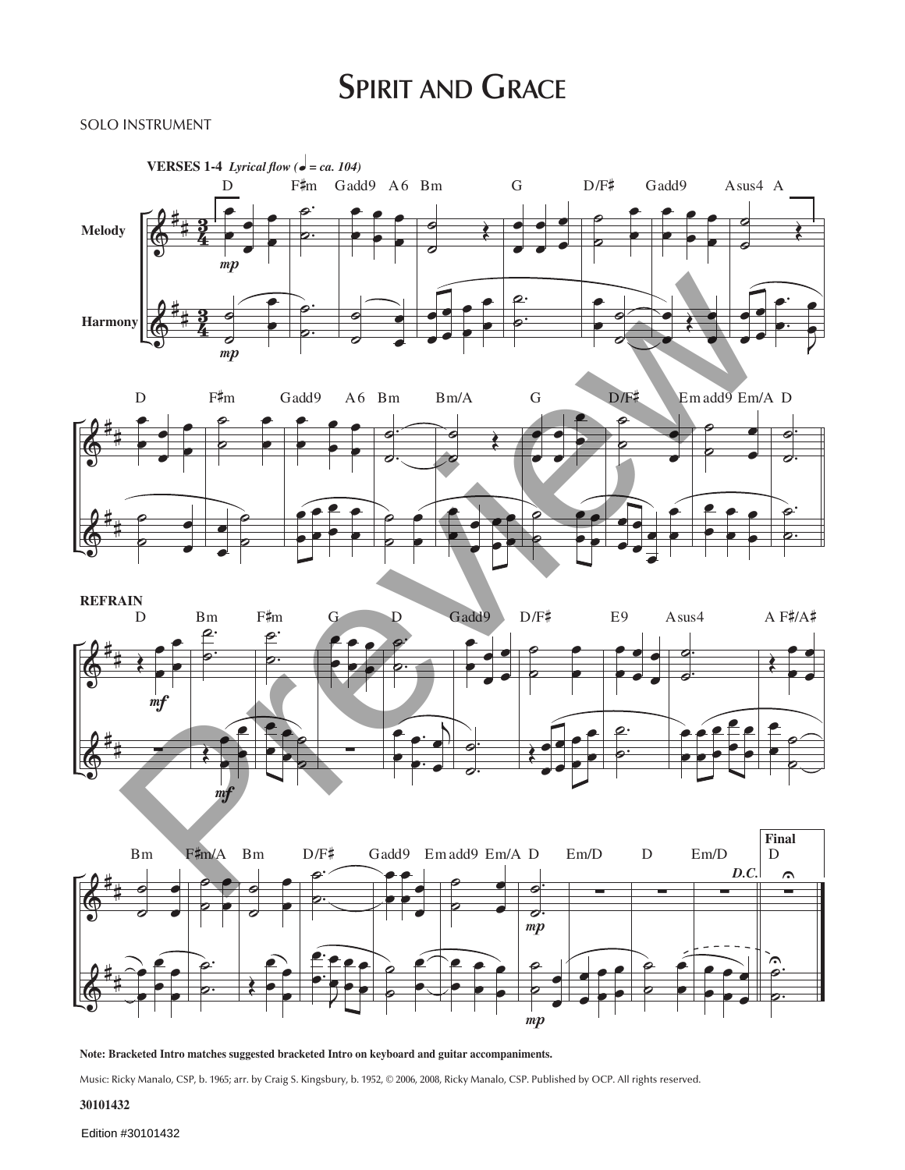# **SPIRIT AND GRACE**

### SOLO INSTRUMENT









**Note: Bracketed Intro matches suggested bracketed Intro on keyboard and guitar accompaniments.**

Music: Ricky Manalo, CSP, b. 1965; arr. by Craig S. Kingsbury, b. 1952, © 2006, 2008, Ricky Manalo, CSP. Published by OCP. All rights reserved.

## **30101432**